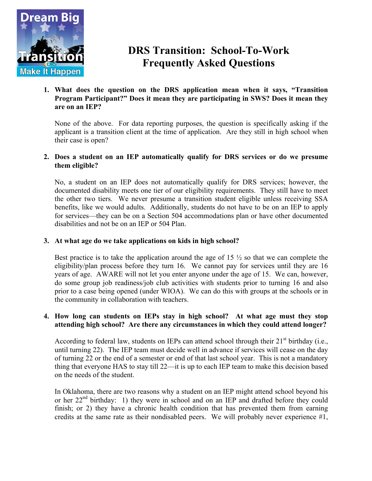

# **DRS Transition: School-To-Work Frequently Asked Questions**

**1. What does the question on the DRS application mean when it says, "Transition Program Participant?" Does it mean they are participating in SWS? Does it mean they are on an IEP?**

None of the above. For data reporting purposes, the question is specifically asking if the applicant is a transition client at the time of application. Are they still in high school when their case is open?

# **2. Does a student on an IEP automatically qualify for DRS services or do we presume them eligible?**

No, a student on an IEP does not automatically qualify for DRS services; however, the documented disability meets one tier of our eligibility requirements. They still have to meet the other two tiers. We never presume a transition student eligible unless receiving SSA benefits, like we would adults. Additionally, students do not have to be on an IEP to apply for services—they can be on a Section 504 accommodations plan or have other documented disabilities and not be on an IEP or 504 Plan.

# **3. At what age do we take applications on kids in high school?**

Best practice is to take the application around the age of 15  $\frac{1}{2}$  so that we can complete the eligibility/plan process before they turn 16. We cannot pay for services until they are 16 years of age. AWARE will not let you enter anyone under the age of 15. We can, however, do some group job readiness/job club activities with students prior to turning 16 and also prior to a case being opened (under WIOA). We can do this with groups at the schools or in the community in collaboration with teachers.

#### **4. How long can students on IEPs stay in high school? At what age must they stop attending high school? Are there any circumstances in which they could attend longer?**

According to federal law, students on IEPs can attend school through their  $21<sup>st</sup>$  birthday (i.e., until turning 22). The IEP team must decide well in advance if services will cease on the day of turning 22 or the end of a semester or end of that last school year. This is not a mandatory thing that everyone HAS to stay till 22—it is up to each IEP team to make this decision based on the needs of the student.

In Oklahoma, there are two reasons why a student on an IEP might attend school beyond his or her  $22<sup>nd</sup>$  birthday: 1) they were in school and on an IEP and drafted before they could finish; or 2) they have a chronic health condition that has prevented them from earning credits at the same rate as their nondisabled peers. We will probably never experience #1,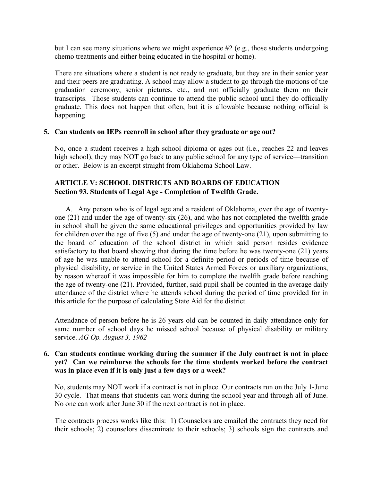but I can see many situations where we might experience #2 (e.g., those students undergoing chemo treatments and either being educated in the hospital or home).

There are situations where a student is not ready to graduate, but they are in their senior year and their peers are graduating. A school may allow a student to go through the motions of the graduation ceremony, senior pictures, etc., and not officially graduate them on their transcripts. Those students can continue to attend the public school until they do officially graduate. This does not happen that often, but it is allowable because nothing official is happening.

### **5. Can students on IEPs reenroll in school after they graduate or age out?**

No, once a student receives a high school diploma or ages out (i.e., reaches 22 and leaves high school), they may NOT go back to any public school for any type of service—transition or other. Below is an excerpt straight from Oklahoma School Law.

# **ARTICLE V: SCHOOL DISTRICTS AND BOARDS OF EDUCATION Section 93. Students of Legal Age - Completion of Twelfth Grade.**

 A. Any person who is of legal age and a resident of Oklahoma, over the age of twentyone (21) and under the age of twenty-six (26), and who has not completed the twelfth grade in school shall be given the same educational privileges and opportunities provided by law for children over the age of five (5) and under the age of twenty-one (21), upon submitting to the board of education of the school district in which said person resides evidence satisfactory to that board showing that during the time before he was twenty-one (21) years of age he was unable to attend school for a definite period or periods of time because of physical disability, or service in the United States Armed Forces or auxiliary organizations, by reason whereof it was impossible for him to complete the twelfth grade before reaching the age of twenty-one (21). Provided, further, said pupil shall be counted in the average daily attendance of the district where he attends school during the period of time provided for in this article for the purpose of calculating State Aid for the district.

Attendance of person before he is 26 years old can be counted in daily attendance only for same number of school days he missed school because of physical disability or military service. *AG Op. August 3, 1962*

# **6. Can students continue working during the summer if the July contract is not in place yet? Can we reimburse the schools for the time students worked before the contract was in place even if it is only just a few days or a week?**

No, students may NOT work if a contract is not in place. Our contracts run on the July 1-June 30 cycle. That means that students can work during the school year and through all of June. No one can work after June 30 if the next contract is not in place.

The contracts process works like this: 1) Counselors are emailed the contracts they need for their schools; 2) counselors disseminate to their schools; 3) schools sign the contracts and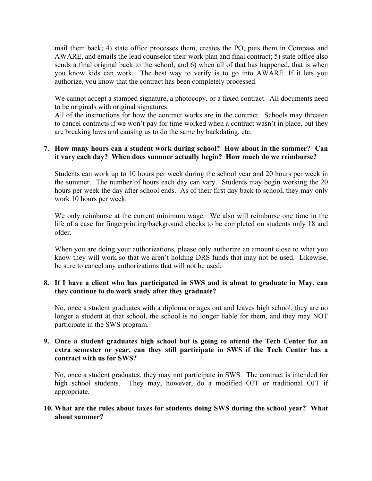mail them back; 4) state office processes them, creates the PO, puts them in Compass and AWARE, and emails the lead counselor their work plan and final contract; 5) state office also sends a final original back to the school; and 6) when all of that has happened, that is when you know kids can work. The best way to verify is to go into AWARE. If it lets you authorize, you know that the contract has been completely processed.

We cannot accept a stamped signature, a photocopy, or a faxed contract. All documents need to be originals with original signatures.

All of the instructions for how the contract works are in the contract. Schools may threaten to cancel contracts if we won't pay for time worked when a contract wasn't in place, but they are breaking laws and causing us to do the same by backdating, etc.

#### **7. How many hours can a student work during school? How about in the summer? Can it vary each day? When does summer actually begin? How much do we reimburse?**

Students can work up to 10 hours per week during the school year and 20 hours per week in the summer. The number of hours each day can vary. Students may begin working the 20 hours per week the day after school ends. As of their first day back to school, they may only work 10 hours per week.

We only reimburse at the current minimum wage. We also will reimburse one time in the life of a case for fingerprinting/background checks to be completed on students only 18 and older.

When you are doing your authorizations, please only authorize an amount close to what you know they will work so that we aren't holding DRS funds that may not be used. Likewise, be sure to cancel any authorizations that will not be used.

### **8. If I have a client who has participated in SWS and is about to graduate in May, can they continue to do work study after they graduate?**

No, once a student graduates with a diploma or ages out and leaves high school, they are no longer a student at that school, the school is no longer liable for them, and they may NOT participate in the SWS program.

#### **9. Once a student graduates high school but is going to attend the Tech Center for an extra semester or year, can they still participate in SWS if the Tech Center has a contract with us for SWS?**

No, once a student graduates, they may not participate in SWS. The contract is intended for high school students. They may, however, do a modified OJT or traditional OJT if appropriate.

### **10. What are the rules about taxes for students doing SWS during the school year? What about summer?**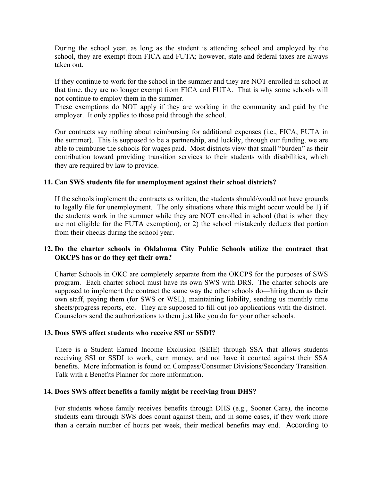During the school year, as long as the student is attending school and employed by the school, they are exempt from FICA and FUTA; however, state and federal taxes are always taken out.

If they continue to work for the school in the summer and they are NOT enrolled in school at that time, they are no longer exempt from FICA and FUTA. That is why some schools will not continue to employ them in the summer.

These exemptions do NOT apply if they are working in the community and paid by the employer. It only applies to those paid through the school.

Our contracts say nothing about reimbursing for additional expenses (i.e., FICA, FUTA in the summer). This is supposed to be a partnership, and luckily, through our funding, we are able to reimburse the schools for wages paid. Most districts view that small "burden" as their contribution toward providing transition services to their students with disabilities, which they are required by law to provide.

### **11. Can SWS students file for unemployment against their school districts?**

If the schools implement the contracts as written, the students should/would not have grounds to legally file for unemployment. The only situations where this might occur would be 1) if the students work in the summer while they are NOT enrolled in school (that is when they are not eligible for the FUTA exemption), or 2) the school mistakenly deducts that portion from their checks during the school year.

### **12. Do the charter schools in Oklahoma City Public Schools utilize the contract that OKCPS has or do they get their own?**

Charter Schools in OKC are completely separate from the OKCPS for the purposes of SWS program. Each charter school must have its own SWS with DRS. The charter schools are supposed to implement the contract the same way the other schools do—hiring them as their own staff, paying them (for SWS or WSL), maintaining liability, sending us monthly time sheets/progress reports, etc. They are supposed to fill out job applications with the district. Counselors send the authorizations to them just like you do for your other schools.

# **13. Does SWS affect students who receive SSI or SSDI?**

There is a Student Earned Income Exclusion (SEIE) through SSA that allows students receiving SSI or SSDI to work, earn money, and not have it counted against their SSA benefits. More information is found on Compass/Consumer Divisions/Secondary Transition. Talk with a Benefits Planner for more information.

# **14. Does SWS affect benefits a family might be receiving from DHS?**

For students whose family receives benefits through DHS (e.g., Sooner Care), the income students earn through SWS does count against them, and in some cases, if they work more than a certain number of hours per week, their medical benefits may end. According to